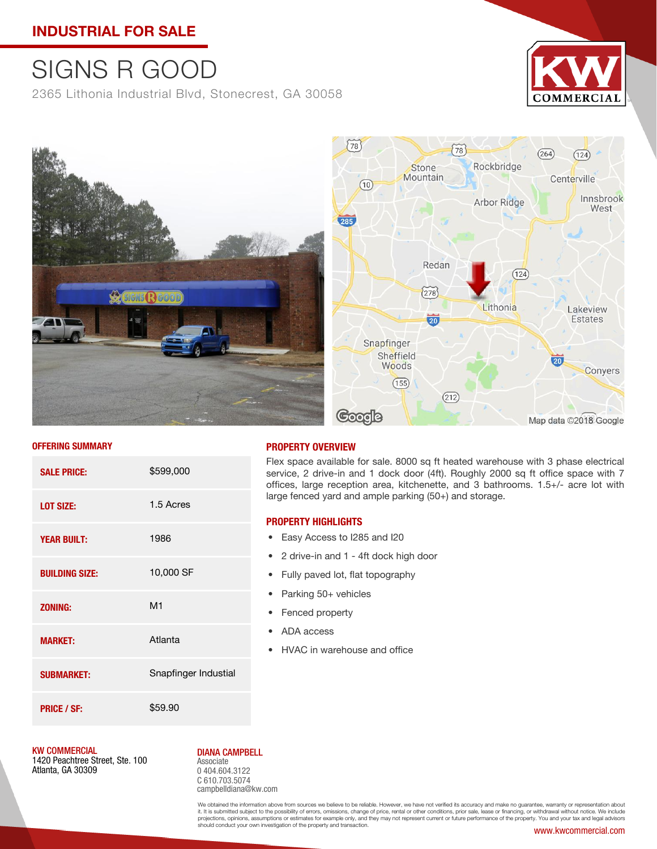## **INDUSTRIAL FOR SALE**

# SIGNS R GOOD

2365 Lithonia Industrial Blvd, Stonecrest, GA 30058





#### **OFFERING SUMMARY**

| <b>SALE PRICE:</b>    | \$599,000            |
|-----------------------|----------------------|
| <b>LOT SIZE:</b>      | 1.5 Acres            |
| <b>YEAR BUILT:</b>    | 1986                 |
| <b>BUILDING SIZE:</b> | 10,000 SF            |
| <b>ZONING:</b>        | M <sub>1</sub>       |
| <b>MARKET:</b>        | Atlanta              |
| <b>SUBMARKET:</b>     | Snapfinger Industial |
| <b>PRICE / SF:</b>    | \$59.90              |

### **PROPERTY OVERVIEW**

Flex space available for sale. 8000 sq ft heated warehouse with 3 phase electrical service, 2 drive-in and 1 dock door (4ft). Roughly 2000 sq ft office space with 7 offices, large reception area, kitchenette, and 3 bathrooms. 1.5+/- acre lot with large fenced yard and ample parking (50+) and storage.

#### **PROPERTY HIGHLIGHTS**

- Easy Access to I285 and I20
- 2 drive-in and 1 4ft dock high door
- Fully paved lot, flat topography
- Parking 50+ vehicles
- Fenced property
- ADA access
- HVAC in warehouse and office

KW COMMERCIAL

1420 Peachtree Street, Ste. 100 Atlanta, GA 30309

#### DIANA CAMPBELL

Associate 0 404.604.3122 C 610.703.5074 campbelldiana@kw.com

We obtained the information above from sources we believe to be reliable. However, we have not verified its accuracy and make no guarantee, warranty or representation about<br>it. It is submitted subject to the possibility of should conduct your own investigation of the property and transaction.